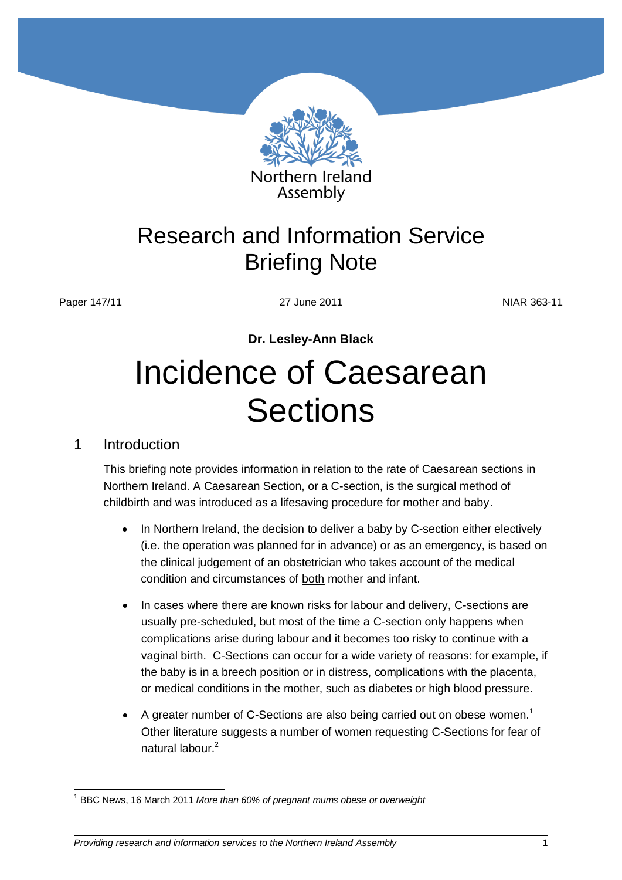

## Research and Information Service Briefing Note

Paper 147/11 27 June 2011 NIAR 363-11

**Dr. Lesley-Ann Black**

## Incidence of Caesarean **Sections**

## 1 Introduction

This briefing note provides information in relation to the rate of Caesarean sections in Northern Ireland. A Caesarean Section, or a C-section, is the surgical method of childbirth and was introduced as a lifesaving procedure for mother and baby.

- In Northern Ireland, the decision to deliver a baby by C-section either electively (i.e. the operation was planned for in advance) or as an emergency, is based on the clinical judgement of an obstetrician who takes account of the medical condition and circumstances of both mother and infant.
- In cases where there are known risks for [labour](http://www.womens-health.co.uk/labour.html) and delivery, C-sections are usually pre-scheduled, but most of the time a C-section only happens when complications arise during labour and it becomes too risky to continue with a vaginal birth. C-Sections can occur for a wide variety of reasons: for example, if the baby is in a breech position or in distress, complications with the placenta, or medical conditions in the mother, such as diabetes or high blood pressure.
- A greater number of C-Sections are also being carried out on obese women.<sup>1</sup> Other literature suggests a number of women requesting C-Sections for fear of natural labour.<sup>2</sup>

 $\overline{\phantom{a}}$ <sup>1</sup> BBC News, 16 March 2011 *More than 60% of pregnant mums obese or overweight*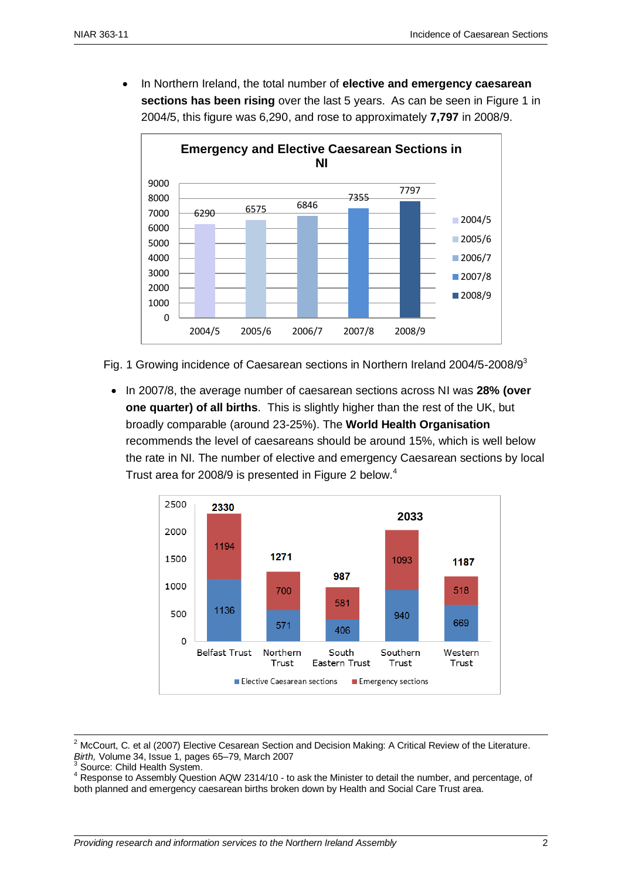In Northern Ireland, the total number of **elective and emergency caesarean sections has been rising** over the last 5 years. As can be seen in Figure 1 in 2004/5, this figure was 6,290, and rose to approximately **7,797** in 2008/9.



Fig. 1 Growing incidence of Caesarean sections in Northern Ireland 2004/5-2008/9<sup>3</sup>

 In 2007/8, the average number of caesarean sections across NI was **28% (over one quarter) of all births**. This is slightly higher than the rest of the UK, but broadly comparable (around 23-25%). The **World Health Organisation** recommends the level of caesareans should be around 15%, which is well below the rate in NI. The number of elective and emergency Caesarean sections by local Trust area for 2008/9 is presented in Figure 2 below.<sup>4</sup>



 $2$  McCourt, C. et al (2007) Elective Cesarean Section and Decision Making: A Critical Review of the Literature. *Birth,* [Volume 34, Issue 1, p](http://onlinelibrary.wiley.com/doi/10.1111/bir.2007.34.issue-1/issuetoc)ages 65–79, March 2007

 $3$  Source: Child Health System.

1

<sup>4</sup> Response to Assembly Question AQW 2314/10 - to ask the Minister to detail the number, and percentage, of both planned and emergency caesarean births broken down by Health and Social Care Trust area.